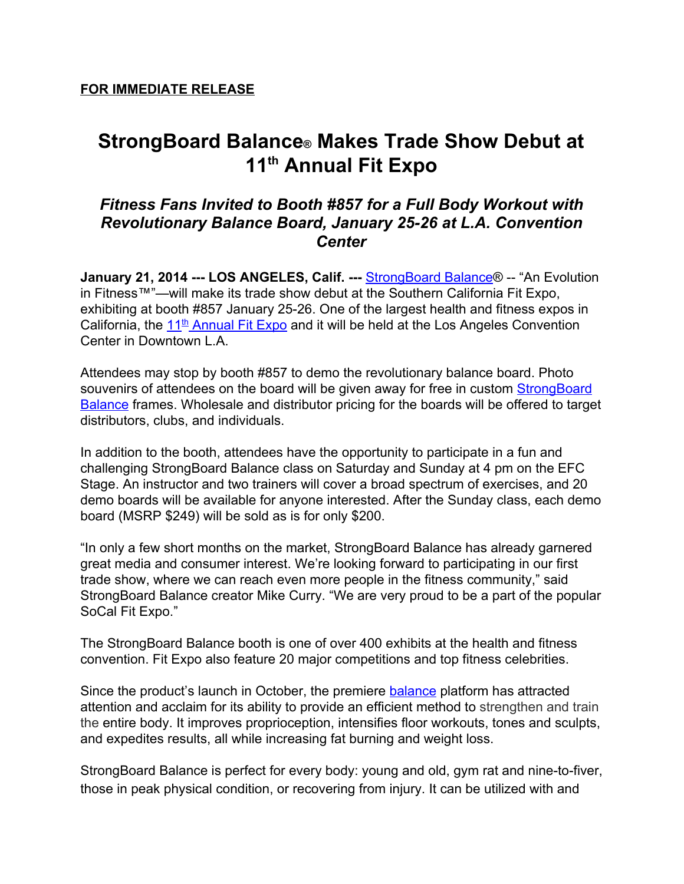# **StrongBoard Balance® Makes Trade Show Debut at 11 th Annual Fit Expo**

## *Fitness Fans Invited to Booth #857 for a Full Body Workout with Revolutionary Balance Board, January 2526 at L.A. Convention Center*

**January 21, 2014 --- LOS ANGELES, Calif. --- [StrongBoard](http://www.google.com/url?q=http%3A%2F%2Fstrongboardbalance.com&sa=D&sntz=1&usg=AFQjCNEViy_DA-uBaMBscr8szVUdLpUt7A) Balance® -- "An Evolution** in Fitness™"—will make its trade show debut at the Southern California Fit Expo, exhibiting at booth #857 January 25-26. One of the largest health and fitness expos in California, the [11](http://www.google.com/url?q=http%3A%2F%2Fwww.thefitexpo.com%2Fla.asp&sa=D&sntz=1&usg=AFQjCNHkHdod1KQAw8SMpP89LOu-Vd5XTA)<sup>[th](http://www.google.com/url?q=http%3A%2F%2Fwww.thefitexpo.com%2Fla.asp&sa=D&sntz=1&usg=AFQjCNHkHdod1KQAw8SMpP89LOu-Vd5XTA)</sup> [Annual](http://www.google.com/url?q=http%3A%2F%2Fwww.thefitexpo.com%2Fla.asp&sa=D&sntz=1&usg=AFQjCNHkHdod1KQAw8SMpP89LOu-Vd5XTA) Fit Expo and it will be held at the Los Angeles Convention Center in Downtown L.A.

Attendees may stop by booth #857 to demo the revolutionary balance board. Photo souvenirs of attendees on the board will be given away for free in custom [StrongBoard](https://www.google.com/url?q=https%3A%2F%2Ftwitter.com%2FStrongBoard&sa=D&sntz=1&usg=AFQjCNHWR1umgY9ov521Tn_o-v0AZW864g) **[Balance](https://www.google.com/url?q=https%3A%2F%2Ftwitter.com%2FStrongBoard&sa=D&sntz=1&usg=AFQjCNHWR1umgY9ov521Tn_o-v0AZW864g)** frames. Wholesale and distributor pricing for the boards will be offered to target distributors, clubs, and individuals.

In addition to the booth, attendees have the opportunity to participate in a fun and challenging StrongBoard Balance class on Saturday and Sunday at 4 pm on the EFC Stage. An instructor and two trainers will cover a broad spectrum of exercises, and 20 demo boards will be available for anyone interested. After the Sunday class, each demo board (MSRP \$249) will be sold as is for only \$200.

"In only a few short months on the market, StrongBoard Balance has already garnered great media and consumer interest. We're looking forward to participating in our first trade show, where we can reach even more people in the fitness community," said StrongBoard Balance creator Mike Curry. "We are very proud to be a part of the popular SoCal Fit Expo."

The StrongBoard Balance booth is one of over 400 exhibits at the health and fitness convention. Fit Expo also feature 20 major competitions and top fitness celebrities.

Since the product's launch in October, the premiere [balance](http://www.google.com/url?q=http%3A%2F%2Fstrongboardbalance.com%2F2013%2F12%2Fharmony-from-within%2F&sa=D&sntz=1&usg=AFQjCNErZmBse3dulPGqT_HmvHIM5E8j1A) platform has attracted attention and acclaim for its ability to provide an efficient method to strengthen and train the entire body. It improves proprioception, intensifies floor workouts, tones and sculpts, and expedites results, all while increasing fat burning and weight loss.

StrongBoard Balance is perfect for every body: young and old, gym rat and nine-to-fiver, those in peak physical condition, or recovering from injury. It can be utilized with and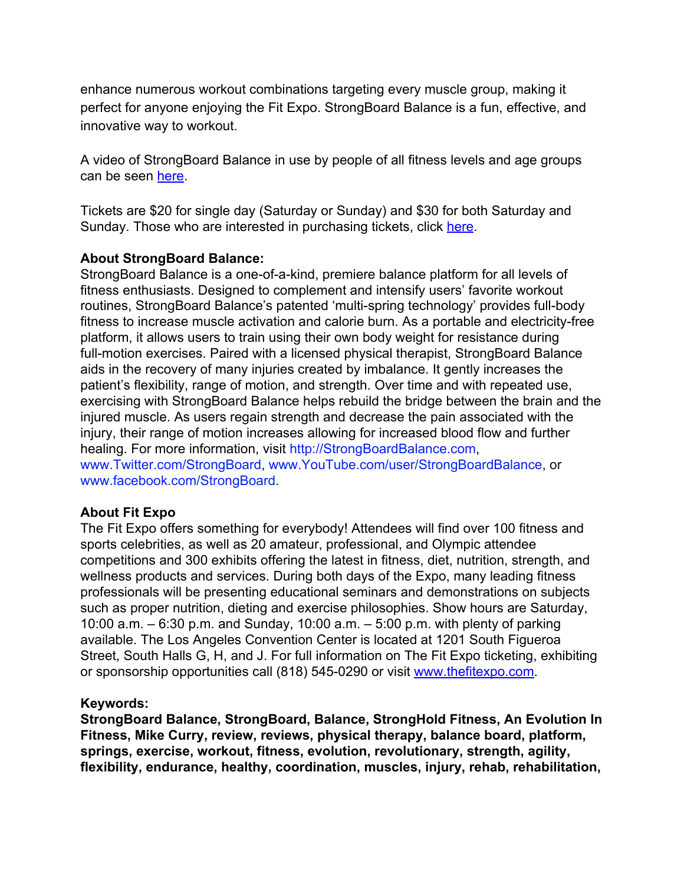enhance numerous workout combinations targeting every muscle group, making it perfect for anyone enjoying the Fit Expo. StrongBoard Balance is a fun, effective, and innovative way to workout.

A video of StrongBoard Balance in use by people of all fitness levels and age groups can be seen [here.](http://www.youtube.com/watch?v=clI8dq2gCPw&feature=share&list=FLn7r7-2RwMrThW8FAZN_zxg&index=10)

Tickets are \$20 for single day (Saturday or Sunday) and \$30 for both Saturday and Sunday. Those who are interested in purchasing tickets, click [here](http://www.google.com/url?q=http%3A%2F%2Fwww.thefitexpo.com%2FTFELA_tickets.asp&sa=D&sntz=1&usg=AFQjCNFavgOjLnHnKRJVMLp9Vao-0B6ErQ).

#### **About StrongBoard Balance:**

StrongBoard Balance is a one-of-a-kind, premiere balance platform for all levels of fitness enthusiasts. Designed to complement and intensify users' favorite workout routines, StrongBoard Balance's patented 'multi-spring technology' provides full-body fitness to increase muscle activation and calorie burn. As a portable and electricity-free platform, it allows users to train using their own body weight for resistance during full-motion exercises. Paired with a licensed physical therapist, StrongBoard Balance aids in the recovery of many injuries created by imbalance. It gently increases the patient's flexibility, range of motion, and strength. Over time and with repeated use, exercising with StrongBoard Balance helps rebuild the bridge between the brain and the injured muscle. As users regain strength and decrease the pain associated with the injury, their range of motion increases allowing for increased blood flow and further healing. For more information, visit [http://StrongBoardBalance.com,](http://www.google.com/url?q=http%3A%2F%2Fstrongboardbalance.com%2F&sa=D&sntz=1&usg=AFQjCNFncwbiCb0Ht92GUSUYsAwJkMPafg) [www.Twitter.com/StrongBoard,](http://www.google.com/url?q=http%3A%2F%2Fwww.twitter.com%2FStrongBoard&sa=D&sntz=1&usg=AFQjCNHLQtb3h4UknzPpRtfRy7cBuumlVg) [www.YouTube.com/user/StrongBoardBalance,](http://www.youtube.com/user/StrongBoardBalance) or [www.facebook.com/StrongBoard.](http://www.google.com/url?q=http%3A%2F%2Fwww.facebook.com%2FStrongBoard&sa=D&sntz=1&usg=AFQjCNFjrwL_UQe9HFMQTxUntqUMFtDHMg)

### **About Fit Expo**

The Fit Expo offers something for everybody! Attendees will find over 100 fitness and sports celebrities, as well as 20 amateur, professional, and Olympic attendee competitions and 300 exhibits offering the latest in fitness, diet, nutrition, strength, and wellness products and services. During both days of the Expo, many leading fitness professionals will be presenting educational seminars and demonstrations on subjects such as proper nutrition, dieting and exercise philosophies. Show hours are Saturday, 10:00 a.m. – 6:30 p.m. and Sunday, 10:00 a.m. – 5:00 p.m. with plenty of parking available. The Los Angeles Convention Center is located at 1201 South Figueroa Street, South Halls G, H, and J. For full information on The Fit Expo ticketing, exhibiting or sponsorship opportunities call (818) 545-0290 or visit [www.thefitexpo.com](http://www.google.com/url?q=http%3A%2F%2Fthefitexpo.com%2F&sa=D&sntz=1&usg=AFQjCNFKyzHwBUeob7HaX21tKwm3bMSeag).

#### **Keywords:**

**StrongBoard Balance, StrongBoard, Balance, StrongHold Fitness, An Evolution In Fitness, Mike Curry, review, reviews, physical therapy, balance board, platform, springs, exercise, workout, fitness, evolution, revolutionary, strength, agility, flexibility, endurance, healthy, coordination, muscles, injury, rehab, rehabilitation,**